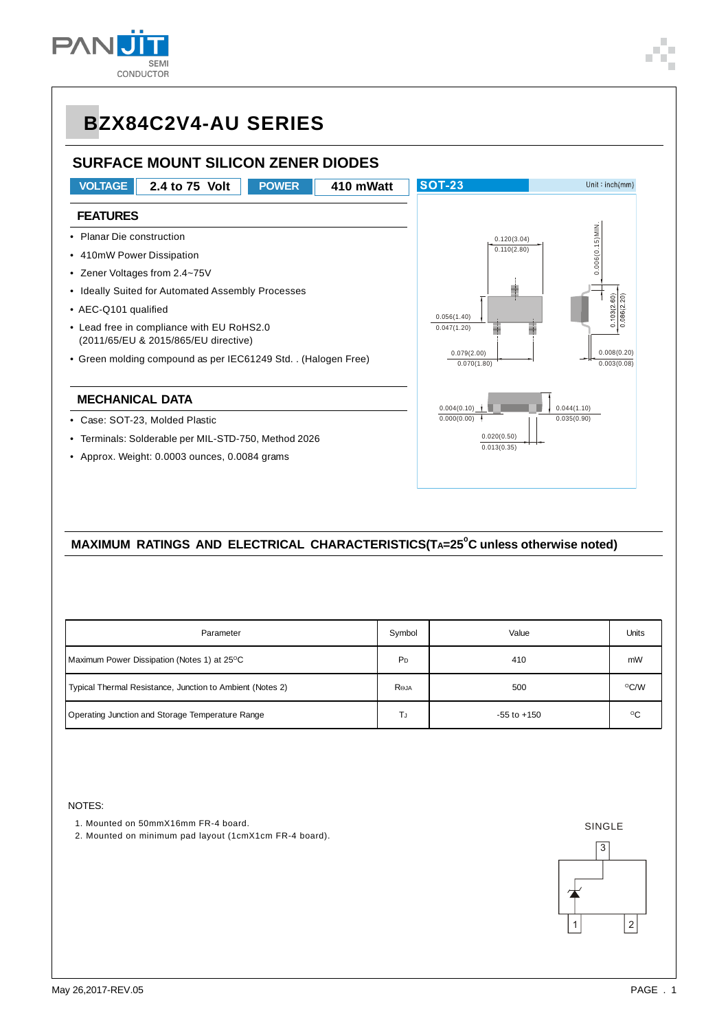

## **BZX84C2V4-AU SERIES**

### **SURFACE MOUNT SILICON ZENER DIODES**



#### **MAXIMUM RATINGS AND ELECTRICAL CHARACTERISTICS(TA=25<sup>°</sup>C unless otherwise noted)**

| Parameter                                                 | Symbol         | Value           | Units        |
|-----------------------------------------------------------|----------------|-----------------|--------------|
| Maximum Power Dissipation (Notes 1) at 25 <sup>o</sup> C  | P <sub>D</sub> | 410             | mW           |
| Typical Thermal Resistance, Junction to Ambient (Notes 2) | ROJA           | 500             | °C/W         |
| Operating Junction and Storage Temperature Range          | TJ             | $-55$ to $+150$ | $^{\circ}$ C |

NOTES:

- 1. Mounted on 50mmX16mm FR-4 board.
- 2. Mounted on minimum pad layout (1cmX1cm FR-4 board).

SINGLE

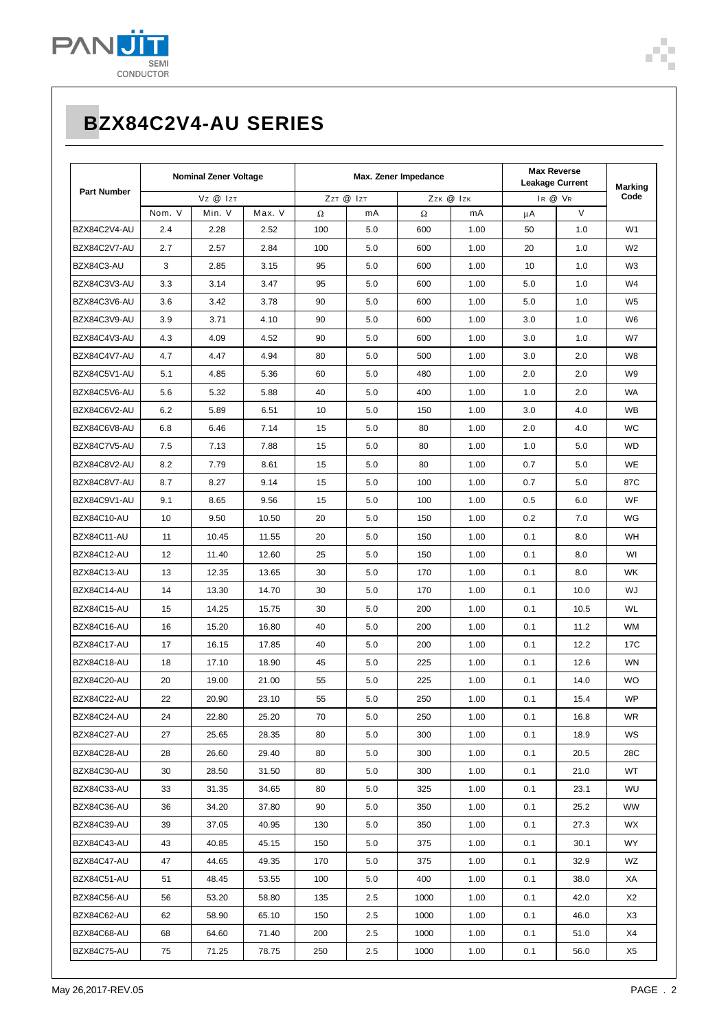

# **BZX84C2V4-AU SERIES**

|                    | <b>Nominal Zener Voltage</b> |        | Max. Zener Impedance |          |           |          | <b>Max Reverse</b><br><b>Leakage Current</b> |     | <b>Marking</b> |                |
|--------------------|------------------------------|--------|----------------------|----------|-----------|----------|----------------------------------------------|-----|----------------|----------------|
| <b>Part Number</b> | Vz @ Izt                     |        | ZzT @ IzT            |          | Zzk @ Izk |          | IR @ VR                                      |     | Code           |                |
|                    | Nom. V                       | Min. V | Max. V               | $\Omega$ | mA        | $\Omega$ | mA                                           | μA  | $\vee$         |                |
| BZX84C2V4-AU       | 2.4                          | 2.28   | 2.52                 | 100      | 5.0       | 600      | 1.00                                         | 50  | 1.0            | W <sub>1</sub> |
| BZX84C2V7-AU       | 2.7                          | 2.57   | 2.84                 | 100      | 5.0       | 600      | 1.00                                         | 20  | 1.0            | W <sub>2</sub> |
| BZX84C3-AU         | 3                            | 2.85   | 3.15                 | 95       | 5.0       | 600      | 1.00                                         | 10  | 1.0            | W3             |
| BZX84C3V3-AU       | 3.3                          | 3.14   | 3.47                 | 95       | 5.0       | 600      | 1.00                                         | 5.0 | 1.0            | W4             |
| BZX84C3V6-AU       | 3.6                          | 3.42   | 3.78                 | 90       | 5.0       | 600      | 1.00                                         | 5.0 | 1.0            | W <sub>5</sub> |
| BZX84C3V9-AU       | 3.9                          | 3.71   | 4.10                 | 90       | 5.0       | 600      | 1.00                                         | 3.0 | 1.0            | W6             |
| BZX84C4V3-AU       | 4.3                          | 4.09   | 4.52                 | 90       | 5.0       | 600      | 1.00                                         | 3.0 | 1.0            | W7             |
| BZX84C4V7-AU       | 4.7                          | 4.47   | 4.94                 | 80       | 5.0       | 500      | 1.00                                         | 3.0 | 2.0            | W8             |
| BZX84C5V1-AU       | 5.1                          | 4.85   | 5.36                 | 60       | 5.0       | 480      | 1.00                                         | 2.0 | 2.0            | W9             |
| BZX84C5V6-AU       | 5.6                          | 5.32   | 5.88                 | 40       | 5.0       | 400      | 1.00                                         | 1.0 | 2.0            | WA             |
| BZX84C6V2-AU       | 6.2                          | 5.89   | 6.51                 | 10       | 5.0       | 150      | 1.00                                         | 3.0 | 4.0            | WB             |
| BZX84C6V8-AU       | 6.8                          | 6.46   | 7.14                 | 15       | 5.0       | 80       | 1.00                                         | 2.0 | 4.0            | WC             |
| BZX84C7V5-AU       | 7.5                          | 7.13   | 7.88                 | 15       | 5.0       | 80       | 1.00                                         | 1.0 | 5.0            | <b>WD</b>      |
| BZX84C8V2-AU       | 8.2                          | 7.79   | 8.61                 | 15       | 5.0       | 80       | 1.00                                         | 0.7 | 5.0            | WE             |
| BZX84C8V7-AU       | 8.7                          | 8.27   | 9.14                 | 15       | 5.0       | 100      | 1.00                                         | 0.7 | 5.0            | 87C            |
| BZX84C9V1-AU       | 9.1                          | 8.65   | 9.56                 | 15       | 5.0       | 100      | 1.00                                         | 0.5 | 6.0            | WF             |
| BZX84C10-AU        | 10                           | 9.50   | 10.50                | 20       | 5.0       | 150      | 1.00                                         | 0.2 | 7.0            | WG             |
| BZX84C11-AU        | 11                           | 10.45  | 11.55                | 20       | 5.0       | 150      | 1.00                                         | 0.1 | 8.0            | WH             |
| BZX84C12-AU        | 12                           | 11.40  | 12.60                | 25       | 5.0       | 150      | 1.00                                         | 0.1 | 8.0            | WI             |
| BZX84C13-AU        | 13                           | 12.35  | 13.65                | 30       | 5.0       | 170      | 1.00                                         | 0.1 | 8.0            | WK             |
| BZX84C14-AU        | 14                           | 13.30  | 14.70                | 30       | 5.0       | 170      | 1.00                                         | 0.1 | 10.0           | WJ             |
| BZX84C15-AU        | 15                           | 14.25  | 15.75                | 30       | 5.0       | 200      | 1.00                                         | 0.1 | 10.5           | WL             |
| BZX84C16-AU        | 16                           | 15.20  | 16.80                | 40       | 5.0       | 200      | 1.00                                         | 0.1 | 11.2           | <b>WM</b>      |
| BZX84C17-AU        | 17                           | 16.15  | 17.85                | 40       | 5.0       | 200      | 1.00                                         | 0.1 | 12.2           | 17C            |
| BZX84C18-AU        | 18                           | 17.10  | 18.90                | 45       | 5.0       | 225      | 1.00                                         | 0.1 | 12.6           | <b>WN</b>      |
| BZX84C20-AU        | 20                           | 19.00  | 21.00                | 55       | 5.0       | 225      | 1.00                                         | 0.1 | 14.0           | <b>WO</b>      |
| BZX84C22-AU        | 22                           | 20.90  | 23.10                | 55       | 5.0       | 250      | 1.00                                         | 0.1 | 15.4           | WP             |
| BZX84C24-AU        | 24                           | 22.80  | 25.20                | 70       | 5.0       | 250      | 1.00                                         | 0.1 | 16.8           | <b>WR</b>      |
| BZX84C27-AU        | 27                           | 25.65  | 28.35                | 80       | 5.0       | 300      | 1.00                                         | 0.1 | 18.9           | WS             |
| BZX84C28-AU        | 28                           | 26.60  | 29.40                | 80       | 5.0       | 300      | 1.00                                         | 0.1 | 20.5           | 28C            |
| BZX84C30-AU        | 30                           | 28.50  | 31.50                | 80       | 5.0       | 300      | 1.00                                         | 0.1 | 21.0           | WT             |
| BZX84C33-AU        | 33                           | 31.35  | 34.65                | 80       | 5.0       | 325      | 1.00                                         | 0.1 | 23.1           | WU             |
| BZX84C36-AU        | 36                           | 34.20  | 37.80                | 90       | 5.0       | 350      | 1.00                                         | 0.1 | 25.2           | WW             |
| BZX84C39-AU        | 39                           | 37.05  | 40.95                | 130      | 5.0       | 350      | 1.00                                         | 0.1 | 27.3           | WX             |
| BZX84C43-AU        | 43                           | 40.85  | 45.15                | 150      | 5.0       | 375      | 1.00                                         | 0.1 | 30.1           | WY.            |
| BZX84C47-AU        | 47                           | 44.65  | 49.35                | 170      | 5.0       | 375      | 1.00                                         | 0.1 | 32.9           | WZ             |
| BZX84C51-AU        | 51                           | 48.45  | 53.55                | 100      | 5.0       | 400      | 1.00                                         | 0.1 | 38.0           | XA             |
| BZX84C56-AU        | 56                           | 53.20  | 58.80                | 135      | 2.5       | 1000     | 1.00                                         | 0.1 | 42.0           | X2             |
| BZX84C62-AU        | 62                           | 58.90  | 65.10                | 150      | 2.5       | 1000     | 1.00                                         | 0.1 | 46.0           | X3             |
| BZX84C68-AU        | 68                           | 64.60  | 71.40                | 200      | 2.5       | 1000     | 1.00                                         | 0.1 | 51.0           | X4             |
| BZX84C75-AU        | 75                           | 71.25  | 78.75                | 250      | 2.5       | 1000     | 1.00                                         | 0.1 | 56.0           | X5             |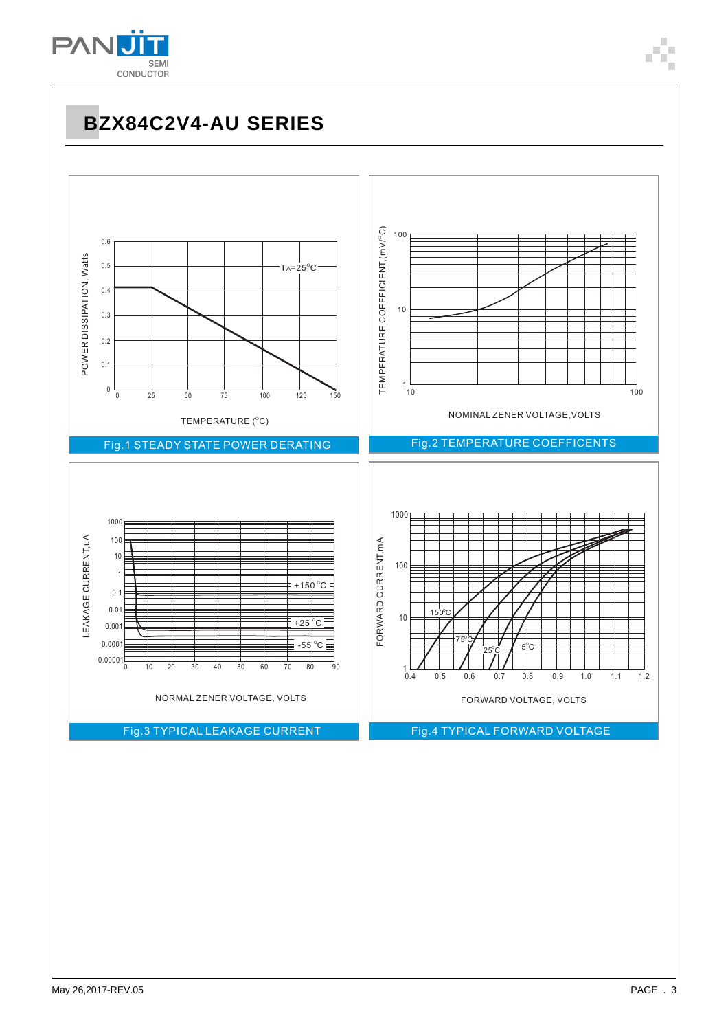

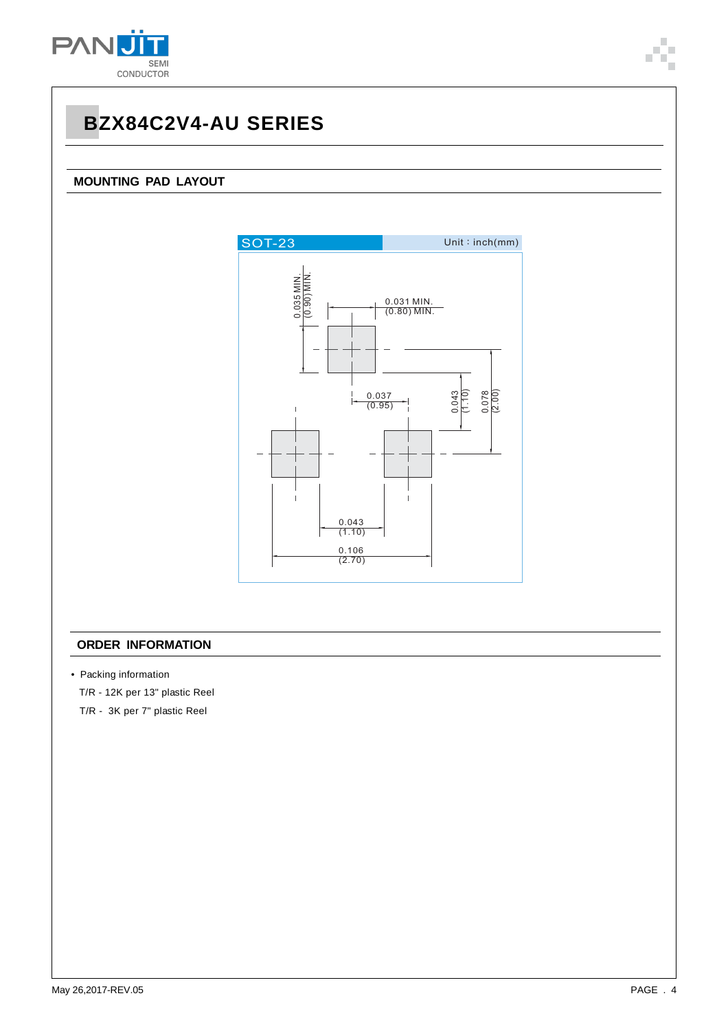

### **MOUNTING PAD LAYOUT**



#### **ORDER INFORMATION**

• Packing information

T/R - 12K per 13" plastic Reel

T/R - 3K per 7" plastic Reel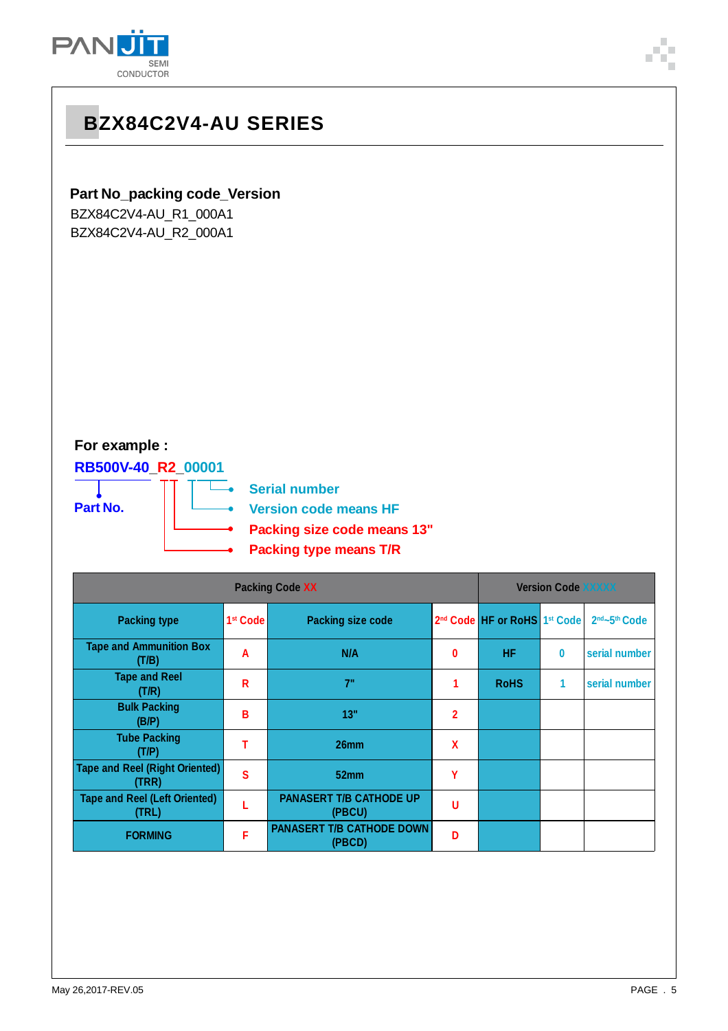

## **BZX84C2V4-AU SERIES**

### **Part No\_packing code\_Version**

BZX84C2V4-AU\_R1\_000A1 BZX84C2V4-AU\_R2\_000A1

## **For example :**

**RB500V-40\_R2\_00001**

**Part No.**

**Serial number**

L.

**Version code means HF**

- **Packing size code means 13"**
- **Packing type means T/R**

|                                                |                      | <b>Version Code XXXXX</b>                  |                |                                                      |          |                                       |
|------------------------------------------------|----------------------|--------------------------------------------|----------------|------------------------------------------------------|----------|---------------------------------------|
| <b>Packing type</b>                            | 1 <sup>st</sup> Code | Packing size code                          |                | 2 <sup>nd</sup> Code HF or RoHS 1 <sup>st</sup> Code |          | 2 <sup>nd</sup> ~5 <sup>th</sup> Code |
| <b>Tape and Ammunition Box</b><br>(T/B)        | Α                    | N/A                                        | 0              | <b>HF</b>                                            | $\bf{0}$ | serial number                         |
| <b>Tape and Reel</b><br>(T/R)                  | R                    | 7"                                         |                | <b>RoHS</b>                                          | 1        | serial number                         |
| <b>Bulk Packing</b><br>(B/P)                   | В                    | 13"                                        | $\overline{2}$ |                                                      |          |                                       |
| <b>Tube Packing</b><br>(T/P)                   | т                    | 26 <sub>mm</sub>                           | X              |                                                      |          |                                       |
| <b>Tape and Reel (Right Oriented)</b><br>(TRR) | S                    | 52 <sub>mm</sub>                           | Υ              |                                                      |          |                                       |
| <b>Tape and Reel (Left Oriented)</b><br>(TRL)  |                      | <b>PANASERT T/B CATHODE UP</b><br>(PBCU)   | U              |                                                      |          |                                       |
| <b>FORMING</b>                                 | F                    | <b>PANASERT T/B CATHODE DOWN</b><br>(PBCD) | D              |                                                      |          |                                       |